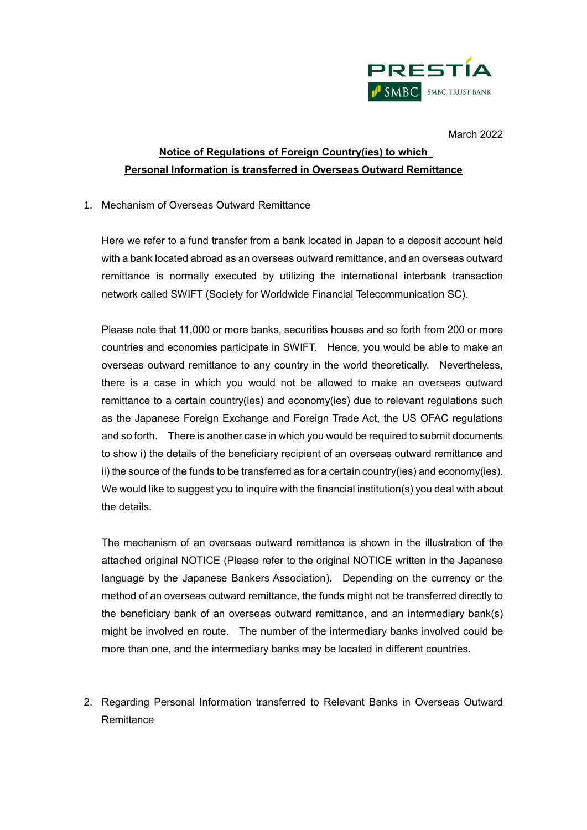

March 2022

# **Notice of Regulations of Foreign Country(ies) to which Personal Information is transferred in Overseas Outward Remittance**

#### 1. Mechanism of Overseas Outward Remittance

Here we refer to a fund transfer from a bank located in Japan to a deposit account held with a bank located abroad as an overseas outward remittance, and an overseas outward remittance is normally executed by utilizing the international interbank transaction network called SWIFT (Society for Worldwide Financial Telecommunication SC).

Please note that 11,000 or more banks, securities houses and so forth from 200 or more countries and economies participate in SWIFT. Hence, you would be able to make an overseas outward remittance to any country in the world theoretically. Nevertheless, there is a case in which you would not be allowed to make an overseas outward remittance to a certain country(ies) and economy(ies) due to relevant regulations such as the Japanese Foreign Exchange and Foreign Trade Act, the US OFAC regulations and so forth. There is another case in which you would be required to submit documents to show i) the details of the beneficiary recipient of an overseas outward remittance and ii) the source of the funds to be transferred as for a certain country(ies) and economy(ies). We would like to suggest you to inquire with the financial institution(s) you deal with about the details.

The mechanism of an overseas outward remittance is shown in the illustration of the attached original NOTICE (Please refer to the original NOTICE written in the Japanese language by the Japanese Bankers Association). Depending on the currency or the method of an overseas outward remittance, the funds might not be transferred directly to the beneficiary bank of an overseas outward remittance, and an intermediary bank(s) might be involved en route. The number of the intermediary banks involved could be more than one, and the intermediary banks may be located in different countries.

2. Regarding Personal Information transferred to Relevant Banks in Overseas Outward **Remittance**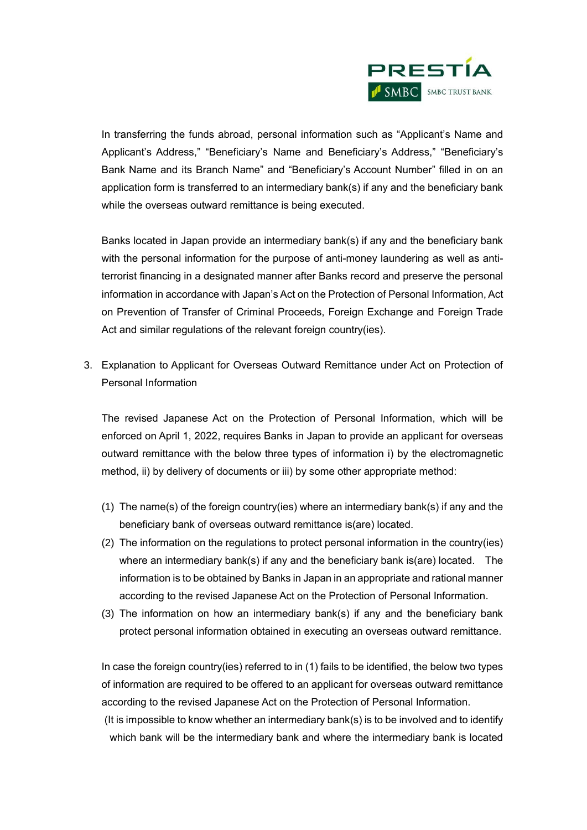

In transferring the funds abroad, personal information such as "Applicant's Name and Applicant's Address," "Beneficiary's Name and Beneficiary's Address," "Beneficiary's Bank Name and its Branch Name" and "Beneficiary's Account Number" filled in on an application form is transferred to an intermediary bank(s) if any and the beneficiary bank while the overseas outward remittance is being executed.

Banks located in Japan provide an intermediary bank(s) if any and the beneficiary bank with the personal information for the purpose of anti-money laundering as well as antiterrorist financing in a designated manner after Banks record and preserve the personal information in accordance with Japan's Act on the Protection of Personal Information, Act on Prevention of Transfer of Criminal Proceeds, Foreign Exchange and Foreign Trade Act and similar regulations of the relevant foreign country(ies).

3. Explanation to Applicant for Overseas Outward Remittance under Act on Protection of Personal Information

The revised Japanese Act on the Protection of Personal Information, which will be enforced on April 1, 2022, requires Banks in Japan to provide an applicant for overseas outward remittance with the below three types of information i) by the electromagnetic method, ii) by delivery of documents or iii) by some other appropriate method:

- (1) The name(s) of the foreign country(ies) where an intermediary bank(s) if any and the beneficiary bank of overseas outward remittance is(are) located.
- (2) The information on the regulations to protect personal information in the country(ies) where an intermediary bank(s) if any and the beneficiary bank is(are) located. The information is to be obtained by Banks in Japan in an appropriate and rational manner according to the revised Japanese Act on the Protection of Personal Information.
- (3) The information on how an intermediary bank(s) if any and the beneficiary bank protect personal information obtained in executing an overseas outward remittance.

In case the foreign country(ies) referred to in (1) fails to be identified, the below two types of information are required to be offered to an applicant for overseas outward remittance according to the revised Japanese Act on the Protection of Personal Information.

 (It is impossible to know whether an intermediary bank(s) is to be involved and to identify which bank will be the intermediary bank and where the intermediary bank is located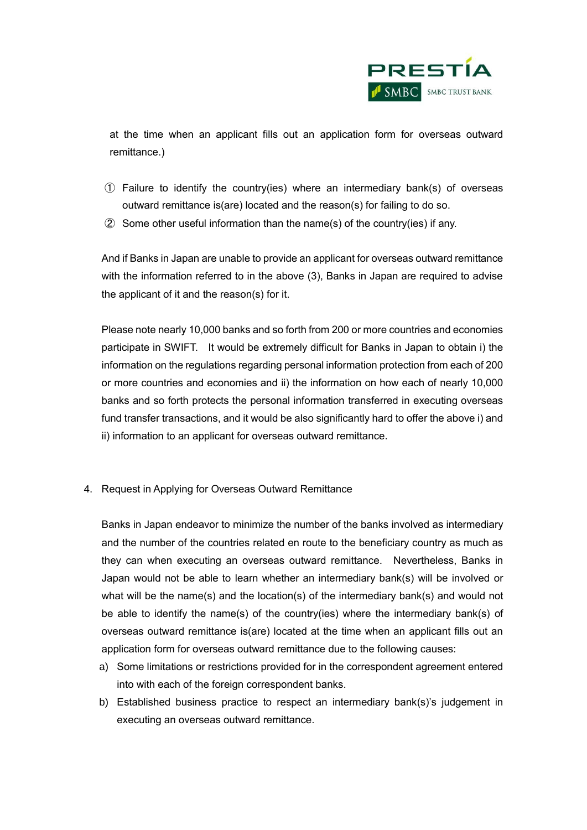

at the time when an applicant fills out an application form for overseas outward remittance.)

- ① Failure to identify the country(ies) where an intermediary bank(s) of overseas outward remittance is(are) located and the reason(s) for failing to do so.
- ② Some other useful information than the name(s) of the country(ies) if any.

And if Banks in Japan are unable to provide an applicant for overseas outward remittance with the information referred to in the above (3), Banks in Japan are required to advise the applicant of it and the reason(s) for it.

Please note nearly 10,000 banks and so forth from 200 or more countries and economies participate in SWIFT. It would be extremely difficult for Banks in Japan to obtain i) the information on the regulations regarding personal information protection from each of 200 or more countries and economies and ii) the information on how each of nearly 10,000 banks and so forth protects the personal information transferred in executing overseas fund transfer transactions, and it would be also significantly hard to offer the above i) and ii) information to an applicant for overseas outward remittance.

4. Request in Applying for Overseas Outward Remittance

Banks in Japan endeavor to minimize the number of the banks involved as intermediary and the number of the countries related en route to the beneficiary country as much as they can when executing an overseas outward remittance. Nevertheless, Banks in Japan would not be able to learn whether an intermediary bank(s) will be involved or what will be the name(s) and the location(s) of the intermediary bank(s) and would not be able to identify the name(s) of the country(ies) where the intermediary bank(s) of overseas outward remittance is(are) located at the time when an applicant fills out an application form for overseas outward remittance due to the following causes:

- a) Some limitations or restrictions provided for in the correspondent agreement entered into with each of the foreign correspondent banks.
- b) Established business practice to respect an intermediary bank(s)'s judgement in executing an overseas outward remittance.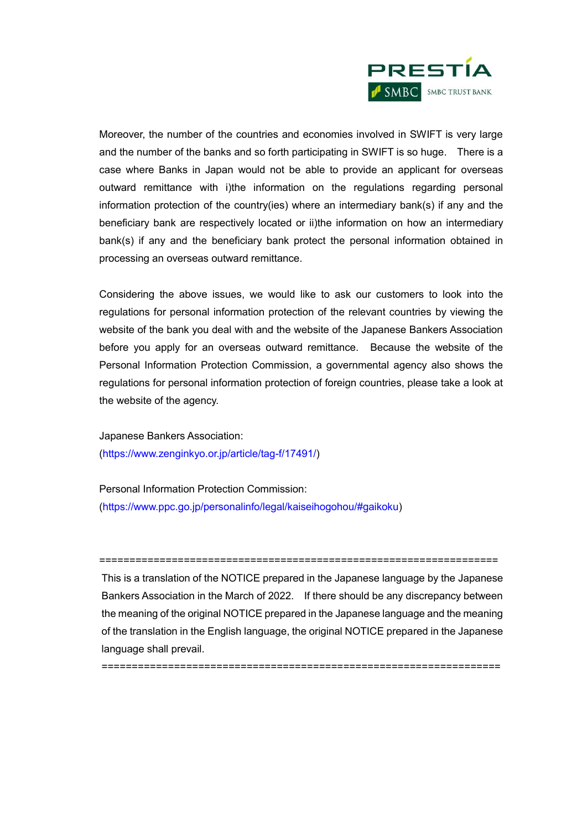

Moreover, the number of the countries and economies involved in SWIFT is very large and the number of the banks and so forth participating in SWIFT is so huge. There is a case where Banks in Japan would not be able to provide an applicant for overseas outward remittance with i)the information on the regulations regarding personal information protection of the country(ies) where an intermediary bank(s) if any and the beneficiary bank are respectively located or ii)the information on how an intermediary bank(s) if any and the beneficiary bank protect the personal information obtained in processing an overseas outward remittance.

Considering the above issues, we would like to ask our customers to look into the regulations for personal information protection of the relevant countries by viewing the website of the bank you deal with and the website of the Japanese Bankers Association before you apply for an overseas outward remittance. Because the website of the Personal Information Protection Commission, a governmental agency also shows the regulations for personal information protection of foreign countries, please take a look at the website of the agency.

Japanese Bankers Association: (https://www.zenginkyo.or.jp/article/tag-f/17491/)

Personal Information Protection Commission: (https://www.ppc.go.jp/personalinfo/legal/kaiseihogohou/#gaikoku)

This is a translation of the NOTICE prepared in the Japanese language by the Japanese Bankers Association in the March of 2022. If there should be any discrepancy between the meaning of the original NOTICE prepared in the Japanese language and the meaning of the translation in the English language, the original NOTICE prepared in the Japanese language shall prevail.

==================================================================

==================================================================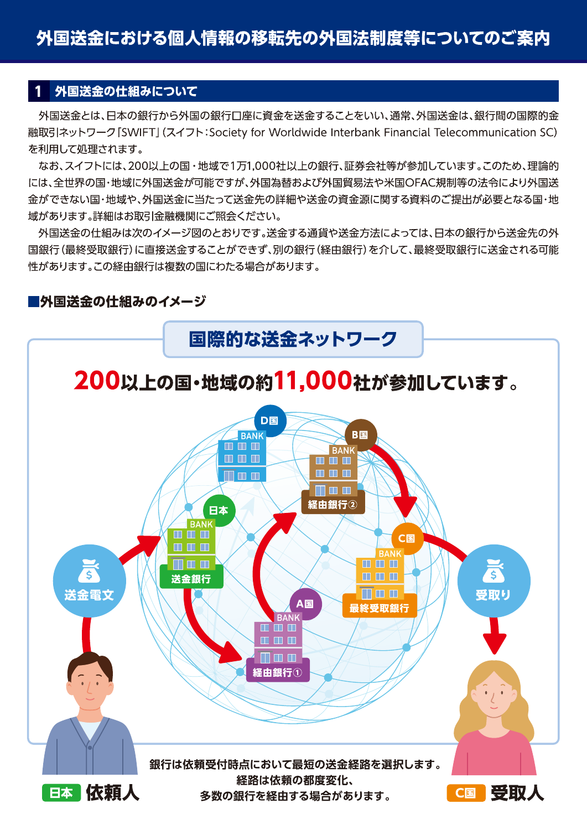# 外国送金の仕組みについて

外国送金とは、日本の銀行から外国の銀行口座に資金を送金することをいい、通常、外国送金は、銀行間の国際的金 融取引ネットワーク [SWIFT] (スイフト: Society for Worldwide Interbank Financial Telecommunication SC) を利用して処理されます。

なお、スイフトには、200以上の国・地域で1万1,000社以上の銀行、証券会社等が参加しています。このため、理論的 には、全世界の国・地域に外国送金が可能ですが、外国為替および外国貿易法や米国OFAC規制等の法令により外国送 金ができない国・地域や、外国送金に当たって送金先の詳細や送金の資金源に関する資料のご提出が必要となる国・地 域があります。詳細はお取引金融機関にご照会ください。

外国送金の仕組みは次のイメージ図のとおりです。送金する通貨や送金方法によっては、日本の銀行から送金先の外 国銀行(最終受取銀行)に直接送金することができず、別の銀行(経由銀行)を介して、最終受取銀行に送金される可能 性があります。この経由銀行は複数の国にわたる場合があります。

# ■外国送金の仕組みのイメージ